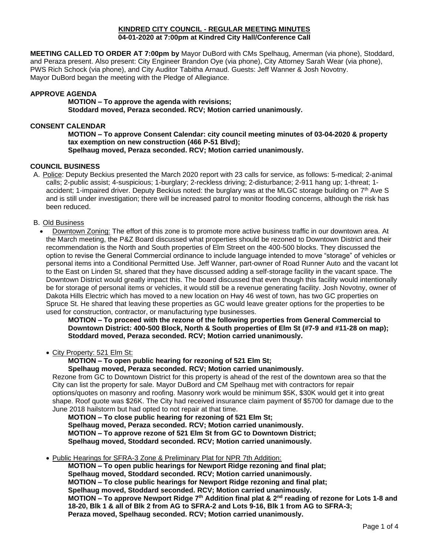### **KINDRED CITY COUNCIL - REGULAR MEETING MINUTES 04-01-2020 at 7:00pm at Kindred City Hall/Conference Call**

**MEETING CALLED TO ORDER AT 7:00pm by** Mayor DuBord with CMs Spelhaug, Amerman (via phone), Stoddard, and Peraza present. Also present: City Engineer Brandon Oye (via phone), City Attorney Sarah Wear (via phone), PWS Rich Schock (via phone), and City Auditor Tabitha Arnaud. Guests: Jeff Wanner & Josh Novotny. Mayor DuBord began the meeting with the Pledge of Allegiance.

# **APPROVE AGENDA**

**MOTION – To approve the agenda with revisions; Stoddard moved, Peraza seconded. RCV; Motion carried unanimously.** 

## **CONSENT CALENDAR**

**MOTION – To approve Consent Calendar: city council meeting minutes of 03-04-2020 & property tax exemption on new construction (466 P-51 Blvd); Spelhaug moved, Peraza seconded. RCV; Motion carried unanimously.**

### **COUNCIL BUSINESS**

A. Police: Deputy Beckius presented the March 2020 report with 23 calls for service, as follows: 5-medical; 2-animal calls; 2-public assist; 4-suspicious; 1-burglary; 2-reckless driving; 2-disturbance; 2-911 hang up; 1-threat; 1 accident: 1-impaired driver. Deputy Beckius noted: the burglary was at the MLGC storage building on 7<sup>th</sup> Ave S and is still under investigation; there will be increased patrol to monitor flooding concerns, although the risk has been reduced.

#### B. Old Business

• Downtown Zoning: The effort of this zone is to promote more active business traffic in our downtown area. At the March meeting, the P&Z Board discussed what properties should be rezoned to Downtown District and their recommendation is the North and South properties of Elm Street on the 400-500 blocks. They discussed the option to revise the General Commercial ordinance to include language intended to move "storage" of vehicles or personal items into a Conditional Permitted Use. Jeff Wanner, part-owner of Road Runner Auto and the vacant lot to the East on Linden St, shared that they have discussed adding a self-storage facility in the vacant space. The Downtown District would greatly impact this. The board discussed that even though this facility would intentionally be for storage of personal items or vehicles, it would still be a revenue generating facility. Josh Novotny, owner of Dakota Hills Electric which has moved to a new location on Hwy 46 west of town, has two GC properties on Spruce St. He shared that leaving these properties as GC would leave greater options for the properties to be used for construction, contractor, or manufacturing type businesses.

**MOTION – To proceed with the rezone of the following properties from General Commercial to Downtown District: 400-500 Block, North & South properties of Elm St (#7-9 and #11-28 on map); Stoddard moved, Peraza seconded. RCV; Motion carried unanimously.**

#### • City Property: 521 Elm St:

**MOTION – To open public hearing for rezoning of 521 Elm St;**

**Spelhaug moved, Peraza seconded. RCV; Motion carried unanimously.**

Rezone from GC to Downtown District for this property is ahead of the rest of the downtown area so that the City can list the property for sale. Mayor DuBord and CM Spelhaug met with contractors for repair options/quotes on masonry and roofing. Masonry work would be minimum \$5K, \$30K would get it into great shape. Roof quote was \$26K. The City had received insurance claim payment of \$5700 for damage due to the June 2018 hailstorm but had opted to not repair at that time.

**MOTION – To close public hearing for rezoning of 521 Elm St; Spelhaug moved, Peraza seconded. RCV; Motion carried unanimously. MOTION – To approve rezone of 521 Elm St from GC to Downtown District; Spelhaug moved, Stoddard seconded. RCV; Motion carried unanimously.**

• Public Hearings for SFRA-3 Zone & Preliminary Plat for NPR 7th Addition:

**MOTION – To open public hearings for Newport Ridge rezoning and final plat; Spelhaug moved, Stoddard seconded. RCV; Motion carried unanimously. MOTION – To close public hearings for Newport Ridge rezoning and final plat; Spelhaug moved, Stoddard seconded. RCV; Motion carried unanimously. MOTION – To approve Newport Ridge 7th Addition final plat & 2nd reading of rezone for Lots 1-8 and 18-20, Blk 1 & all of Blk 2 from AG to SFRA-2 and Lots 9-16, Blk 1 from AG to SFRA-3; Peraza moved, Spelhaug seconded. RCV; Motion carried unanimously.**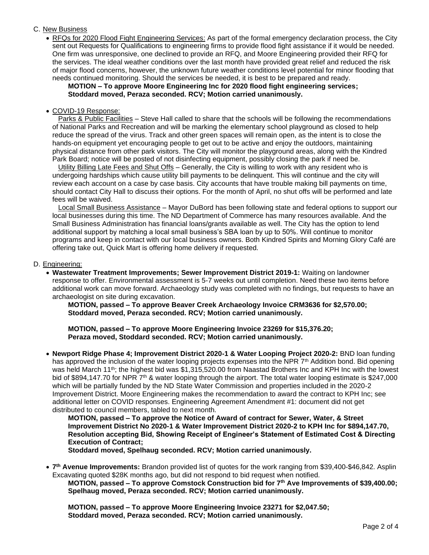## C. New Business

• RFQs for 2020 Flood Fight Engineering Services: As part of the formal emergency declaration process, the City sent out Requests for Qualifications to engineering firms to provide flood fight assistance if it would be needed. One firm was unresponsive, one declined to provide an RFQ, and Moore Engineering provided their RFQ for the services. The ideal weather conditions over the last month have provided great relief and reduced the risk of major flood concerns, however, the unknown future weather conditions level potential for minor flooding that needs continued monitoring. Should the services be needed, it is best to be prepared and ready.

**MOTION – To approve Moore Engineering Inc for 2020 flood fight engineering services; Stoddard moved, Peraza seconded. RCV; Motion carried unanimously.**

### • COVID-19 Response:

Parks & Public Facilities - Steve Hall called to share that the schools will be following the recommendations of National Parks and Recreation and will be marking the elementary school playground as closed to help reduce the spread of the virus. Track and other green spaces will remain open, as the intent is to close the hands-on equipment yet encouraging people to get out to be active and enjoy the outdoors, maintaining physical distance from other park visitors. The City will monitor the playground areas, along with the Kindred Park Board; notice will be posted of not disinfecting equipment, possibly closing the park if need be.

 Utility Billing Late Fees and Shut Offs – Generally, the City is willing to work with any resident who is undergoing hardships which cause utility bill payments to be delinquent. This will continue and the city will review each account on a case by case basis. City accounts that have trouble making bill payments on time, should contact City Hall to discuss their options. For the month of April, no shut offs will be performed and late fees will be waived.

Local Small Business Assistance – Mayor DuBord has been following state and federal options to support our local businesses during this time. The ND Department of Commerce has many resources available. And the Small Business Administration has financial loans/grants available as well. The City has the option to lend additional support by matching a local small business's SBA loan by up to 50%. Will continue to monitor programs and keep in contact with our local business owners. Both Kindred Spirits and Morning Glory Café are offering take out, Quick Mart is offering home delivery if requested.

### D. Engineering:

• **Wastewater Treatment Improvements; Sewer Improvement District 2019-1:** Waiting on landowner response to offer. Environmental assessment is 5-7 weeks out until completion. Need these two items before additional work can move forward. Archaeology study was completed with no findings, but requests to have an archaeologist on site during excavation.

**MOTION, passed – To approve Beaver Creek Archaeology Invoice CRM3636 for \$2,570.00; Stoddard moved, Peraza seconded. RCV; Motion carried unanimously.**

**MOTION, passed – To approve Moore Engineering Invoice 23269 for \$15,376.20; Peraza moved, Stoddard seconded. RCV; Motion carried unanimously.**

• **Newport Ridge Phase 4; Improvement District 2020-1 & Water Looping Project 2020-2:** BND loan funding has approved the inclusion of the water looping projects expenses into the NPR 7<sup>th</sup> Addition bond. Bid opening was held March 11<sup>th</sup>; the highest bid was \$1,315,520.00 from Naastad Brothers Inc and KPH Inc with the lowest bid of \$894,147.70 for NPR 7<sup>th</sup> & water looping through the airport. The total water looping estimate is \$247,000 which will be partially funded by the ND State Water Commission and properties included in the 2020-2 Improvement District. Moore Engineering makes the recommendation to award the contract to KPH Inc; see additional letter on COVID responses. Engineering Agreement Amendment #1: document did not get distributed to council members, tabled to next month.

**MOTION, passed – To approve the Notice of Award of contract for Sewer, Water, & Street Improvement District No 2020-1 & Water Improvement District 2020-2 to KPH Inc for \$894,147.70, Resolution accepting Bid, Showing Receipt of Engineer's Statement of Estimated Cost & Directing Execution of Contract;**

**Stoddard moved, Spelhaug seconded. RCV; Motion carried unanimously.**

• **7 th Avenue Improvements:** Brandon provided list of quotes for the work ranging from \$39,400-\$46,842. Asplin Excavating quoted \$28K months ago, but did not respond to bid request when notified.

**MOTION, passed – To approve Comstock Construction bid for 7th Ave Improvements of \$39,400.00; Spelhaug moved, Peraza seconded. RCV; Motion carried unanimously.**

**MOTION, passed – To approve Moore Engineering Invoice 23271 for \$2,047.50; Stoddard moved, Peraza seconded. RCV; Motion carried unanimously.**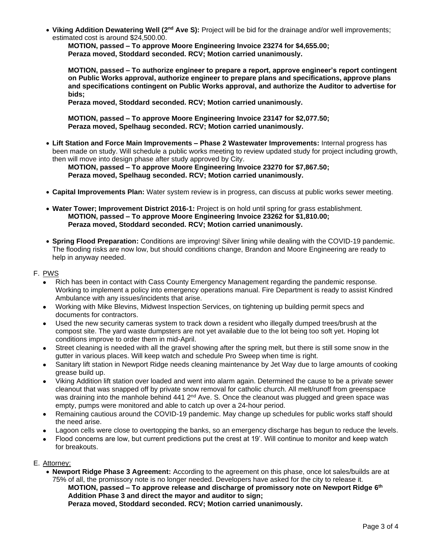• **Viking Addition Dewatering Well (2nd Ave S):** Project will be bid for the drainage and/or well improvements; estimated cost is around \$24,500.00.

**MOTION, passed – To approve Moore Engineering Invoice 23274 for \$4,655.00; Peraza moved, Stoddard seconded. RCV; Motion carried unanimously.**

**MOTION, passed – To authorize engineer to prepare a report, approve engineer's report contingent on Public Works approval, authorize engineer to prepare plans and specifications, approve plans and specifications contingent on Public Works approval, and authorize the Auditor to advertise for bids;**

**Peraza moved, Stoddard seconded. RCV; Motion carried unanimously.** 

**MOTION, passed – To approve Moore Engineering Invoice 23147 for \$2,077.50; Peraza moved, Spelhaug seconded. RCV; Motion carried unanimously.** 

• **Lift Station and Force Main Improvements – Phase 2 Wastewater Improvements:** Internal progress has been made on study. Will schedule a public works meeting to review updated study for project including growth, then will move into design phase after study approved by City.

**MOTION, passed – To approve Moore Engineering Invoice 23270 for \$7,867.50; Peraza moved, Spelhaug seconded. RCV; Motion carried unanimously.** 

- **Capital Improvements Plan:** Water system review is in progress, can discuss at public works sewer meeting.
- **Water Tower; Improvement District 2016-1:** Project is on hold until spring for grass establishment. **MOTION, passed – To approve Moore Engineering Invoice 23262 for \$1,810.00; Peraza moved, Stoddard seconded. RCV; Motion carried unanimously.**
- **Spring Flood Preparation:** Conditions are improving! Silver lining while dealing with the COVID-19 pandemic. The flooding risks are now low, but should conditions change, Brandon and Moore Engineering are ready to help in anyway needed.

# F. PWS

- Rich has been in contact with Cass County Emergency Management regarding the pandemic response. Working to implement a policy into emergency operations manual. Fire Department is ready to assist Kindred Ambulance with any issues/incidents that arise.
- Working with Mike Blevins, Midwest Inspection Services, on tightening up building permit specs and documents for contractors.
- Used the new security cameras system to track down a resident who illegally dumped trees/brush at the compost site. The yard waste dumpsters are not yet available due to the lot being too soft yet. Hoping lot conditions improve to order them in mid-April.
- Street cleaning is needed with all the gravel showing after the spring melt, but there is still some snow in the gutter in various places. Will keep watch and schedule Pro Sweep when time is right.
- Sanitary lift station in Newport Ridge needs cleaning maintenance by Jet Way due to large amounts of cooking grease build up.
- Viking Addition lift station over loaded and went into alarm again. Determined the cause to be a private sewer cleanout that was snapped off by private snow removal for catholic church. All melt/runoff from greenspace was draining into the manhole behind 441 2<sup>nd</sup> Ave. S. Once the cleanout was plugged and green space was empty, pumps were monitored and able to catch up over a 24-hour period.
- Remaining cautious around the COVID-19 pandemic. May change up schedules for public works staff should the need arise.
- Lagoon cells were close to overtopping the banks, so an emergency discharge has begun to reduce the levels.
- Flood concerns are low, but current predictions put the crest at 19'. Will continue to monitor and keep watch for breakouts.

## E. Attorney:

• **Newport Ridge Phase 3 Agreement:** According to the agreement on this phase, once lot sales/builds are at 75% of all, the promissory note is no longer needed. Developers have asked for the city to release it. **MOTION, passed – To approve release and discharge of promissory note on Newport Ridge 6 th Addition Phase 3 and direct the mayor and auditor to sign;**

**Peraza moved, Stoddard seconded. RCV; Motion carried unanimously.**